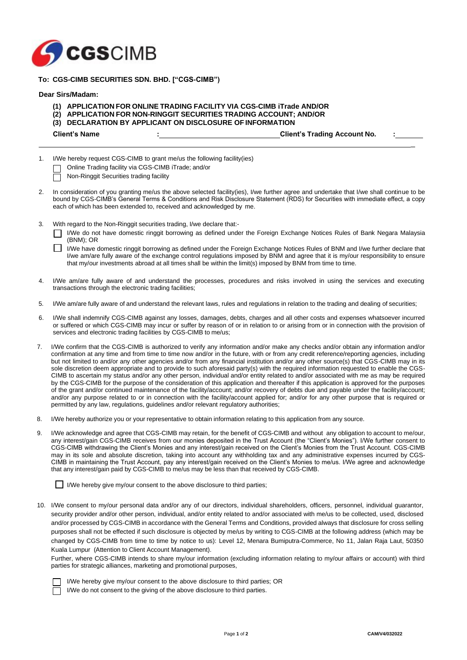

# **To: CGS-CIMB SECURITIES SDN. BHD. ["CGS-CIMB")**

## **Dear Sirs/Madam:**

- **(1) APPLICATION FOR ONLINE TRADING FACILITY VIA CGS-CIMB iTrade AND/OR**
- **(2) APPLICATION FOR NON-RINGGIT SECURITIES TRADING ACCOUNT; AND/OR**
- **(3) DECLARATION BY APPLICANT ON DISCLOSURE OF INFORMATION**

**Client's Name : Client's Trading Account No. :**

 $\overline{a}$ 

1. I/We hereby request CGS-CIMB to grant me/us the following facility(ies)

- Online Trading facility via CGS-CIMB iTrade; and/or
- Non-Ringgit Securities trading facility
- 2. In consideration of you granting me/us the above selected facility(ies), I/we further agree and undertake that I/we shall continue to be bound by CGS-CIMB's General Terms & Conditions and Risk Disclosure Statement (RDS) for Securities with immediate effect, a copy each of which has been extended to, received and acknowledged by me.
- 3. With regard to the Non-Ringgit securities trading, I/we declare that:-
	- I/We do not have domestic ringgit borrowing as defined under the Foreign Exchange Notices Rules of Bank Negara Malaysia (BNM); OR
	- П I/We have domestic ringgit borrowing as defined under the Foreign Exchange Notices Rules of BNM and I/we further declare that I/we am/are fully aware of the exchange control regulations imposed by BNM and agree that it is my/our responsibility to ensure that my/our investments abroad at all times shall be within the limit(s) imposed by BNM from time to time.
- 4. I/We am/are fully aware of and understand the processes, procedures and risks involved in using the services and executing transactions through the electronic trading facilities;
- 5. I/We am/are fully aware of and understand the relevant laws, rules and regulations in relation to the trading and dealing of securities;
- 6. I/We shall indemnify CGS-CIMB against any losses, damages, debts, charges and all other costs and expenses whatsoever incurred or suffered or which CGS-CIMB may incur or suffer by reason of or in relation to or arising from or in connection with the provision of services and electronic trading facilities by CGS-CIMB to me/us;
- 7. I/We confirm that the CGS-CIMB is authorized to verify any information and/or make any checks and/or obtain any information and/or confirmation at any time and from time to time now and/or in the future, with or from any credit reference/reporting agencies, including but not limited to and/or any other agencies and/or from any financial institution and/or any other source(s) that CGS-CIMB may in its sole discretion deem appropriate and to provide to such aforesaid party(s) with the required information requested to enable the CGS-CIMB to ascertain my status and/or any other person, individual and/or entity related to and/or associated with me as may be required by the CGS-CIMB for the purpose of the consideration of this application and thereafter if this application is approved for the purposes of the grant and/or continued maintenance of the facility/account; and/or recovery of debts due and payable under the facility/account; and/or any purpose related to or in connection with the facility/account applied for; and/or for any other purpose that is required or permitted by any law, regulations, guidelines and/or relevant regulatory authorities;
- 8. I/We hereby authorize you or your representative to obtain information relating to this application from any source.
- I/We acknowledge and agree that CGS-CIMB may retain, for the benefit of CGS-CIMB and without any obligation to account to me/our, any interest/gain CGS-CIMB receives from our monies deposited in the Trust Account (the "Client's Monies"). I/We further consent to CGS-CIMB withdrawing the Client's Monies and any interest/gain received on the Client's Monies from the Trust Account. CGS-CIMB may in its sole and absolute discretion, taking into account any withholding tax and any administrative expenses incurred by CGS-CIMB in maintaining the Trust Account, pay any interest/gain received on the Client's Monies to me/us. I/We agree and acknowledge that any interest/gain paid by CGS-CIMB to me/us may be less than that received by CGS-CIMB.

 $\Box$  I/We hereby give my/our consent to the above disclosure to third parties;

10. I/We consent to my/our personal data and/or any of our directors, individual shareholders, officers, personnel, individual guarantor, security provider and/or other person, individual, and/or entity related to and/or associated with me/us to be collected, used, disclosed and/or processed by CGS-CIMB in accordance with the General Terms and Conditions, provided always that disclosure for cross selling purposes shall not be effected if such disclosure is objected by me/us by writing to CGS-CIMB at the following address (which may be changed by CGS-CIMB from time to time by notice to us): Level 12, Menara Bumiputra-Commerce, No 11, Jalan Raja Laut, 50350 Kuala Lumpur (Attention to Client Account Management).

Further, where CGS-CIMB intends to share my/our information (excluding information relating to my/our affairs or account) with third parties for strategic alliances, marketing and promotional purposes,



I/We hereby give my/our consent to the above disclosure to third parties; OR

I/We do not consent to the giving of the above disclosure to third parties.